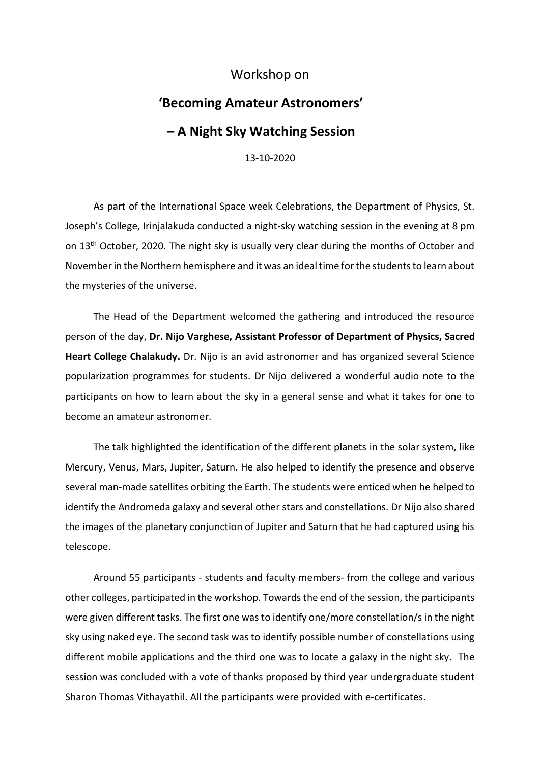## Workshop on

## **'Becoming Amateur Astronomers' – A Night Sky Watching Session**

13-10-2020

As part of the International Space week Celebrations, the Department of Physics, St. Joseph's College, Irinjalakuda conducted a night-sky watching session in the evening at 8 pm on 13<sup>th</sup> October, 2020. The night sky is usually very clear during the months of October and November in the Northern hemisphere and it was an ideal time for the students to learn about the mysteries of the universe.

The Head of the Department welcomed the gathering and introduced the resource person of the day, **Dr. Nijo Varghese, Assistant Professor of Department of Physics, Sacred Heart College Chalakudy.** Dr. Nijo is an avid astronomer and has organized several Science popularization programmes for students. Dr Nijo delivered a wonderful audio note to the participants on how to learn about the sky in a general sense and what it takes for one to become an amateur astronomer.

The talk highlighted the identification of the different planets in the solar system, like Mercury, Venus, Mars, Jupiter, Saturn. He also helped to identify the presence and observe several man-made satellites orbiting the Earth. The students were enticed when he helped to identify the Andromeda galaxy and several other stars and constellations. Dr Nijo also shared the images of the planetary conjunction of Jupiter and Saturn that he had captured using his telescope.

Around 55 participants - students and faculty members- from the college and various other colleges, participated in the workshop. Towards the end of the session, the participants were given different tasks. The first one was to identify one/more constellation/s in the night sky using naked eye. The second task was to identify possible number of constellations using different mobile applications and the third one was to locate a galaxy in the night sky. The session was concluded with a vote of thanks proposed by third year undergraduate student Sharon Thomas Vithayathil. All the participants were provided with e-certificates.